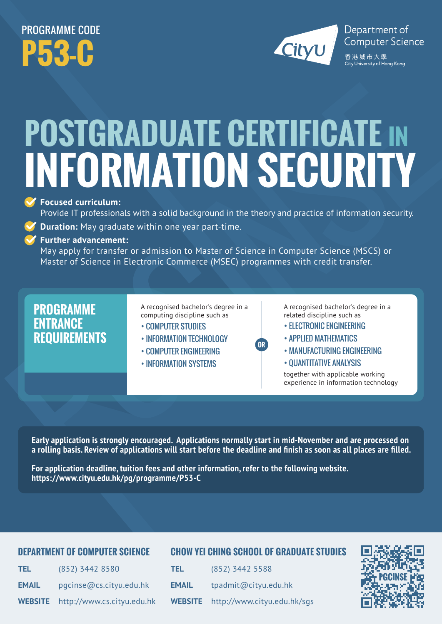## PROGRAMME CODE **P53-C**



# **POSTGRADUATE CERTIFICATE IN INFORMATION SECURITY**

#### **Focused curriculum:**

Provide IT professionals with a solid background in the theory and practice of information security.

**Duration:** May graduate within one year part-time.

**Further advancement:** 

May apply for transfer or admission to Master of Science in Computer Science (MSCS) or Master of Science in Electronic Commerce (MSEC) programmes with credit transfer.

### **PROGRAMME ENTRANCE REQUIREMENTS**

A recognised bachelor's degree in a computing discipline such as

- COMPUTER STUDIES
- INFORMATION TFCHNOLOGY
- COMPUTER ENGINEERING
- INFORMATION SYSTEMS

A recognised bachelor's degree in a related discipline such as

- ELECTRONIC ENGINEERING
- APPLIED MATHEMATICS
- MANUFACTURING ENGINEERING
- QUANTITATIVE ANALYSIS

together with applicable working experience in information technology

**Early application is strongly encouraged. Applications normally start in mid-November and are processed on a rolling basis. Review of applications will start before the deadline and finish as soon as all places are filled.** 

**For application deadline, tuition fees and other information, refer to the following website. https://www.cityu.edu.hk/pg/programme/P53-C**

#### **DEPARTMENT OF COMPUTER SCIENCE**

#### **CHOW YEI CHING SCHOOL OF GRADUATE STUDIES**

**OR**

| TEL.         | (852) 3442 8580                           |
|--------------|-------------------------------------------|
| <b>EMAIL</b> | pqcinse@cs.cityu.edu.hk                   |
|              | <b>WEBSITE</b> http://www.cs.cityu.edu.hk |

| <b>TEL</b>     | (852) 3442 5588             |
|----------------|-----------------------------|
| <b>EMAIL</b>   | tpadmit@cityu.edu.hk        |
| <b>WEBSITE</b> | http://www.cityu.edu.hk/sqs |